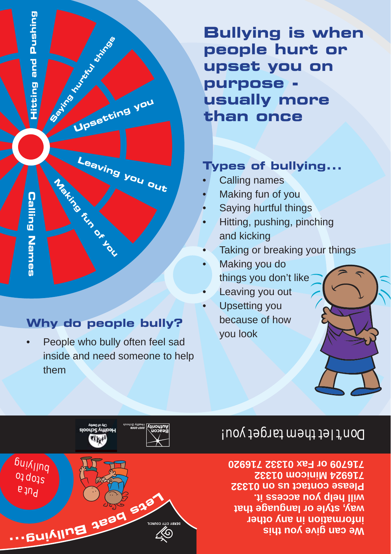

#### **Why do people bully?**

People who bully often feel sad inside and need someone to help them •

**Bullying is when people hurt or upset you on purpose usually more than once**

#### **Types of bullying...**

- Calling names •
- Making fun of you •
- Saying hurtful things •
- Hitting, pushing, pinching and kicking •
- Taking or breaking your things •
- Making you do things you don't like •
- Leaving you out •
- Upsetting you because of how you look •

# Don't let them target you!

**Me can dive you this information in any other way, style or language that will help you access it. Please contact us on 01332 716924 Minicom 01332 716709 or Fax 01332 716920**